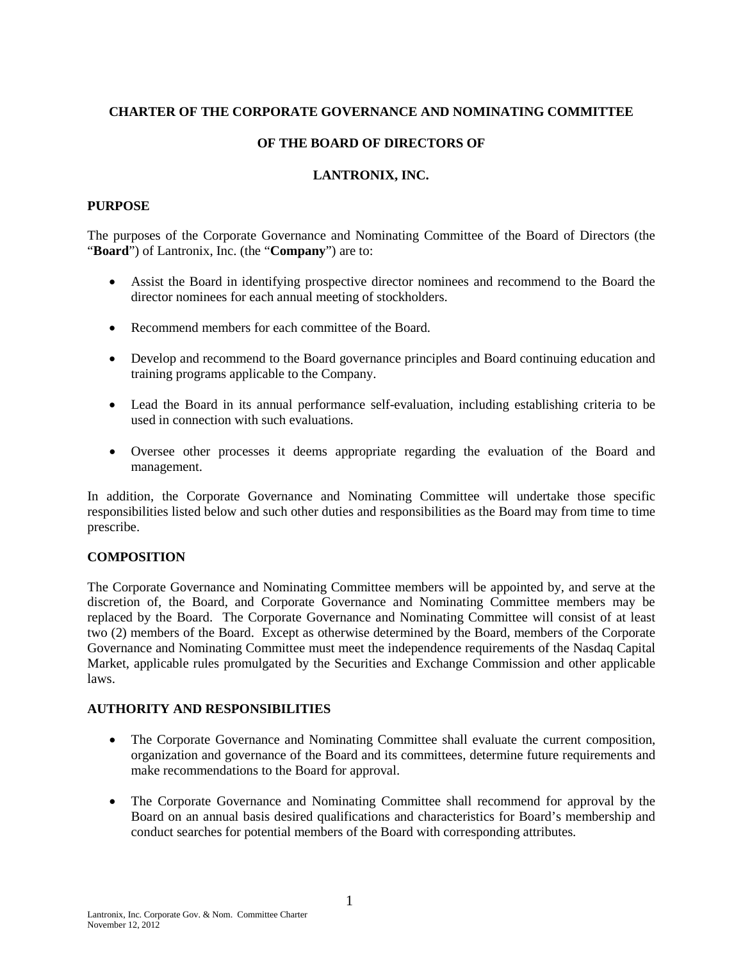## **CHARTER OF THE CORPORATE GOVERNANCE AND NOMINATING COMMITTEE**

## **OF THE BOARD OF DIRECTORS OF**

### **LANTRONIX, INC.**

#### **PURPOSE**

The purposes of the Corporate Governance and Nominating Committee of the Board of Directors (the "**Board**") of Lantronix, Inc. (the "**Company**") are to:

- Assist the Board in identifying prospective director nominees and recommend to the Board the director nominees for each annual meeting of stockholders.
- Recommend members for each committee of the Board.
- Develop and recommend to the Board governance principles and Board continuing education and training programs applicable to the Company.
- Lead the Board in its annual performance self-evaluation, including establishing criteria to be used in connection with such evaluations.
- Oversee other processes it deems appropriate regarding the evaluation of the Board and management.

In addition, the Corporate Governance and Nominating Committee will undertake those specific responsibilities listed below and such other duties and responsibilities as the Board may from time to time prescribe.

# **COMPOSITION**

The Corporate Governance and Nominating Committee members will be appointed by, and serve at the discretion of, the Board, and Corporate Governance and Nominating Committee members may be replaced by the Board. The Corporate Governance and Nominating Committee will consist of at least two (2) members of the Board. Except as otherwise determined by the Board, members of the Corporate Governance and Nominating Committee must meet the independence requirements of the Nasdaq Capital Market, applicable rules promulgated by the Securities and Exchange Commission and other applicable laws.

### **AUTHORITY AND RESPONSIBILITIES**

- The Corporate Governance and Nominating Committee shall evaluate the current composition, organization and governance of the Board and its committees, determine future requirements and make recommendations to the Board for approval.
- The Corporate Governance and Nominating Committee shall recommend for approval by the Board on an annual basis desired qualifications and characteristics for Board's membership and conduct searches for potential members of the Board with corresponding attributes.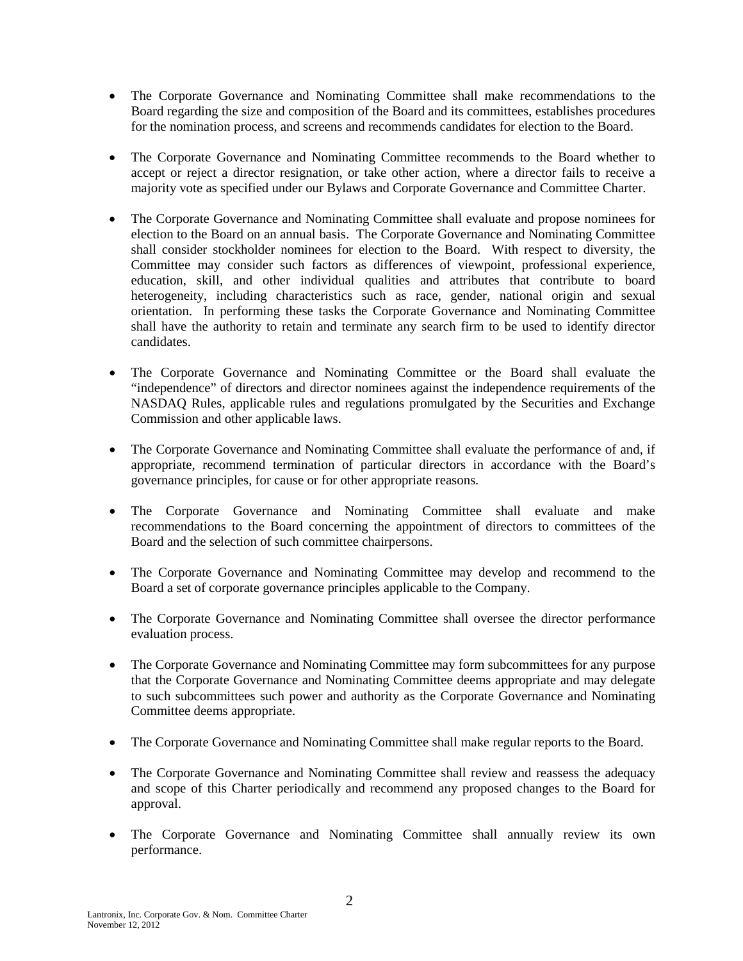- The Corporate Governance and Nominating Committee shall make recommendations to the Board regarding the size and composition of the Board and its committees, establishes procedures for the nomination process, and screens and recommends candidates for election to the Board.
- The Corporate Governance and Nominating Committee recommends to the Board whether to accept or reject a director resignation, or take other action, where a director fails to receive a majority vote as specified under our Bylaws and Corporate Governance and Committee Charter.
- The Corporate Governance and Nominating Committee shall evaluate and propose nominees for election to the Board on an annual basis. The Corporate Governance and Nominating Committee shall consider stockholder nominees for election to the Board. With respect to diversity, the Committee may consider such factors as differences of viewpoint, professional experience, education, skill, and other individual qualities and attributes that contribute to board heterogeneity, including characteristics such as race, gender, national origin and sexual orientation. In performing these tasks the Corporate Governance and Nominating Committee shall have the authority to retain and terminate any search firm to be used to identify director candidates.
- The Corporate Governance and Nominating Committee or the Board shall evaluate the "independence" of directors and director nominees against the independence requirements of the NASDAQ Rules, applicable rules and regulations promulgated by the Securities and Exchange Commission and other applicable laws.
- The Corporate Governance and Nominating Committee shall evaluate the performance of and, if appropriate, recommend termination of particular directors in accordance with the Board's governance principles, for cause or for other appropriate reasons.
- The Corporate Governance and Nominating Committee shall evaluate and make recommendations to the Board concerning the appointment of directors to committees of the Board and the selection of such committee chairpersons.
- The Corporate Governance and Nominating Committee may develop and recommend to the Board a set of corporate governance principles applicable to the Company.
- The Corporate Governance and Nominating Committee shall oversee the director performance evaluation process.
- The Corporate Governance and Nominating Committee may form subcommittees for any purpose that the Corporate Governance and Nominating Committee deems appropriate and may delegate to such subcommittees such power and authority as the Corporate Governance and Nominating Committee deems appropriate.
- The Corporate Governance and Nominating Committee shall make regular reports to the Board.
- The Corporate Governance and Nominating Committee shall review and reassess the adequacy and scope of this Charter periodically and recommend any proposed changes to the Board for approval.
- The Corporate Governance and Nominating Committee shall annually review its own performance.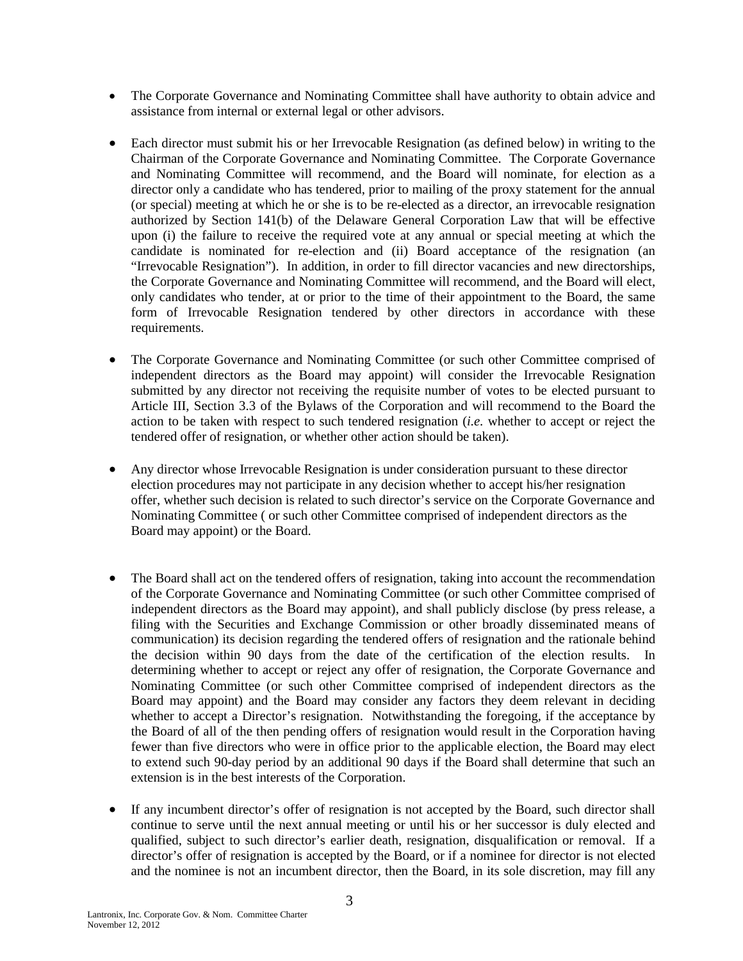- The Corporate Governance and Nominating Committee shall have authority to obtain advice and assistance from internal or external legal or other advisors.
- Each director must submit his or her Irrevocable Resignation (as defined below) in writing to the Chairman of the Corporate Governance and Nominating Committee. The Corporate Governance and Nominating Committee will recommend, and the Board will nominate, for election as a director only a candidate who has tendered, prior to mailing of the proxy statement for the annual (or special) meeting at which he or she is to be re-elected as a director, an irrevocable resignation authorized by Section 141(b) of the Delaware General Corporation Law that will be effective upon (i) the failure to receive the required vote at any annual or special meeting at which the candidate is nominated for re-election and (ii) Board acceptance of the resignation (an "Irrevocable Resignation"). In addition, in order to fill director vacancies and new directorships, the Corporate Governance and Nominating Committee will recommend, and the Board will elect, only candidates who tender, at or prior to the time of their appointment to the Board, the same form of Irrevocable Resignation tendered by other directors in accordance with these requirements.
- The Corporate Governance and Nominating Committee (or such other Committee comprised of independent directors as the Board may appoint) will consider the Irrevocable Resignation submitted by any director not receiving the requisite number of votes to be elected pursuant to Article III, Section 3.3 of the Bylaws of the Corporation and will recommend to the Board the action to be taken with respect to such tendered resignation (*i.e.* whether to accept or reject the tendered offer of resignation, or whether other action should be taken).
- Any director whose Irrevocable Resignation is under consideration pursuant to these director election procedures may not participate in any decision whether to accept his/her resignation offer, whether such decision is related to such director's service on the Corporate Governance and Nominating Committee ( or such other Committee comprised of independent directors as the Board may appoint) or the Board.
- The Board shall act on the tendered offers of resignation, taking into account the recommendation of the Corporate Governance and Nominating Committee (or such other Committee comprised of independent directors as the Board may appoint), and shall publicly disclose (by press release, a filing with the Securities and Exchange Commission or other broadly disseminated means of communication) its decision regarding the tendered offers of resignation and the rationale behind the decision within 90 days from the date of the certification of the election results. In determining whether to accept or reject any offer of resignation, the Corporate Governance and Nominating Committee (or such other Committee comprised of independent directors as the Board may appoint) and the Board may consider any factors they deem relevant in deciding whether to accept a Director's resignation. Notwithstanding the foregoing, if the acceptance by the Board of all of the then pending offers of resignation would result in the Corporation having fewer than five directors who were in office prior to the applicable election, the Board may elect to extend such 90-day period by an additional 90 days if the Board shall determine that such an extension is in the best interests of the Corporation.
- If any incumbent director's offer of resignation is not accepted by the Board, such director shall continue to serve until the next annual meeting or until his or her successor is duly elected and qualified, subject to such director's earlier death, resignation, disqualification or removal. If a director's offer of resignation is accepted by the Board, or if a nominee for director is not elected and the nominee is not an incumbent director, then the Board, in its sole discretion, may fill any